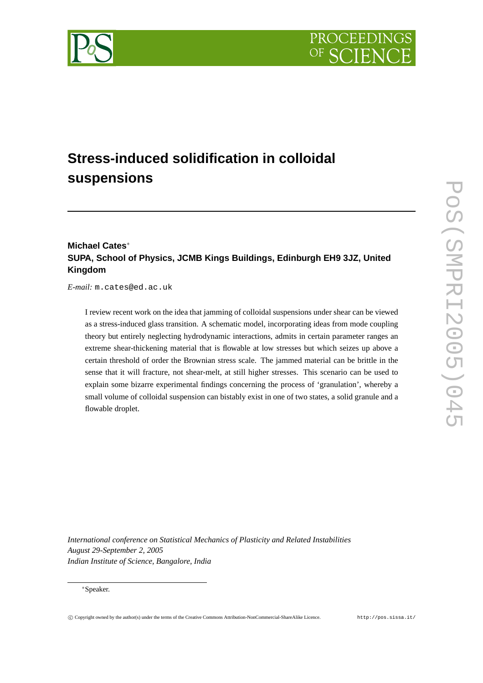



# **Stress-induced solidification in colloidal suspensions**

# **Michael Cates**<sup>∗</sup> **SUPA, School of Physics, JCMB Kings Buildings, Edinburgh EH9 3JZ, United Kingdom**

*E-mail:* m.cates@ed.ac.uk

I review recent work on the idea that jamming of colloidal suspensions under shear can be viewed as a stress-induced glass transition. A schematic model, incorporating ideas from mode coupling theory but entirely neglecting hydrodynamic interactions, admits in certain parameter ranges an extreme shear-thickening material that is flowable at low stresses but which seizes up above a certain threshold of order the Brownian stress scale. The jammed material can be brittle in the sense that it will fracture, not shear-melt, at still higher stresses. This scenario can be used to explain some bizarre experimental findings concerning the process of 'granulation', whereby a small volume of colloidal suspension can bistably exist in one of two states, a solid granule and a flowable droplet.

*International conference on Statistical Mechanics of Plasticity and Related Instabilities August 29-September 2, 2005 Indian Institute of Science, Bangalore, India*

#### <sup>∗</sup>Speaker.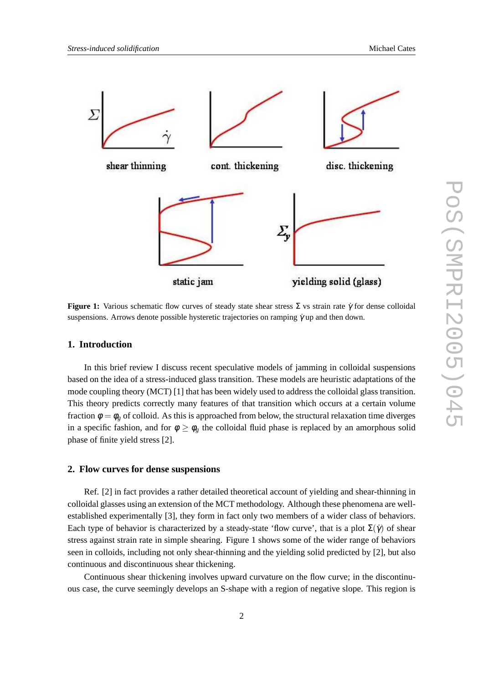

**Figure 1:** Various schematic flow curves of steady state shear stress Σ vs strain rate <sup>γ</sup>˙ for dense colloidal suspensions. Arrows denote possible hysteretic trajectories on ramping  $\dot{\gamma}$  up and then down.

# **1. Introduction**

In this brief review I discuss recent speculative models of jamming in colloidal suspensions based on the idea of a stress-induced glass transition. These models are heuristic adaptations of the mode coupling theory (MCT) [1] that has been widely used to address the colloidal glass transition. This theory predicts correctly many features of that transition which occurs at a certain volume fraction  $\phi = \phi_g$  of colloid. As this is approached from below, the structural relaxation time diverges in a specific fashion, and for  $\phi \geq \phi_g$  the colloidal fluid phase is replaced by an amorphous solid phase of finite yield stress [2].

#### **2. Flow curves for dense suspensions**

Ref. [2] in fact provides a rather detailed theoretical account of yielding and shear-thinning in colloidal glasses using an extension of the MCT methodology. Although these phenomena are wellestablished experimentally [3], they form in fact only two members of a wider class of behaviors. Each type of behavior is characterized by a steady-state 'flow curve', that is a plot  $\Sigma(\gamma)$  of shear stress against strain rate in simple shearing. Figure 1 shows some of the wider range of behaviors seen in colloids, including not only shear-thinning and the yielding solid predicted by [2], but also continuous and discontinuous shear thickening.

Continuous shear thickening involves upward curvature on the flow curve; in the discontinuous case, the curve seemingly develops an S-shape with a region of negative slope. This region is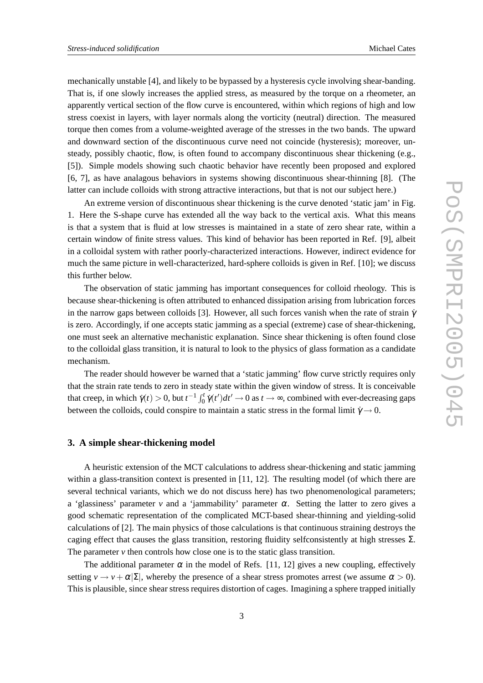mechanically unstable [4], and likely to be bypassed by a hysteresis cycle involving shear-banding. That is, if one slowly increases the applied stress, as measured by the torque on a rheometer, an apparently vertical section of the flow curve is encountered, within which regions of high and low stress coexist in layers, with layer normals along the vorticity (neutral) direction. The measured torque then comes from a volume-weighted average of the stresses in the two bands. The upward and downward section of the discontinuous curve need not coincide (hysteresis); moreover, unsteady, possibly chaotic, flow, is often found to accompany discontinuous shear thickening (e.g., [5]). Simple models showing such chaotic behavior have recently been proposed and explored [6, 7], as have analagous behaviors in systems showing discontinuous shear-thinning [8]. (The latter can include colloids with strong attractive interactions, but that is not our subject here.)

An extreme version of discontinuous shear thickening is the curve denoted 'static jam' in Fig. 1. Here the S-shape curve has extended all the way back to the vertical axis. What this means is that a system that is fluid at low stresses is maintained in a state of zero shear rate, within a certain window of finite stress values. This kind of behavior has been reported in Ref. [9], albeit in a colloidal system with rather poorly-characterized interactions. However, indirect evidence for much the same picture in well-characterized, hard-sphere colloids is given in Ref. [10]; we discuss this further below.

The observation of static jamming has important consequences for colloid rheology. This is because shear-thickening is often attributed to enhanced dissipation arising from lubrication forces in the narrow gaps between colloids [3]. However, all such forces vanish when the rate of strain  $\dot{\gamma}$ is zero. Accordingly, if one accepts static jamming as a special (extreme) case of shear-thickening, one must seek an alternative mechanistic explanation. Since shear thickening is often found close to the colloidal glass transition, it is natural to look to the physics of glass formation as a candidate mechanism.

The reader should however be warned that a 'static jamming' flow curve strictly requires only that the strain rate tends to zero in steady state within the given window of stress. It is conceivable that creep, in which  $\dot{\gamma}(t) > 0$ , but  $t^{-1} \int_0^t \dot{\gamma}(t') dt' \to 0$  as  $t \to \infty$ , combined with ever-decreasing gaps between the colloids, could conspire to maintain a static stress in the formal limit  $\dot{\gamma} \rightarrow 0$ .

# **3. A simple shear-thickening model**

A heuristic extension of the MCT calculations to address shear-thickening and static jamming within a glass-transition context is presented in [11, 12]. The resulting model (of which there are several technical variants, which we do not discuss here) has two phenomenological parameters; a 'glassiness' parameter *v* and a 'jammability' parameter  $\alpha$ . Setting the latter to zero gives a good schematic representation of the complicated MCT-based shear-thinning and yielding-solid calculations of [2]. The main physics of those calculations is that continuous straining destroys the caging effect that causes the glass transition, restoring fluidity selfconsistently at high stresses  $\Sigma$ . The parameter *v* then controls how close one is to the static glass transition.

The additional parameter  $\alpha$  in the model of Refs. [11, 12] gives a new coupling, effectively setting  $v \to v + \alpha |\Sigma|$ , whereby the presence of a shear stress promotes arrest (we assume  $\alpha > 0$ ). This is plausible, since shear stress requires distortion of cages. Imagining a sphere trapped initially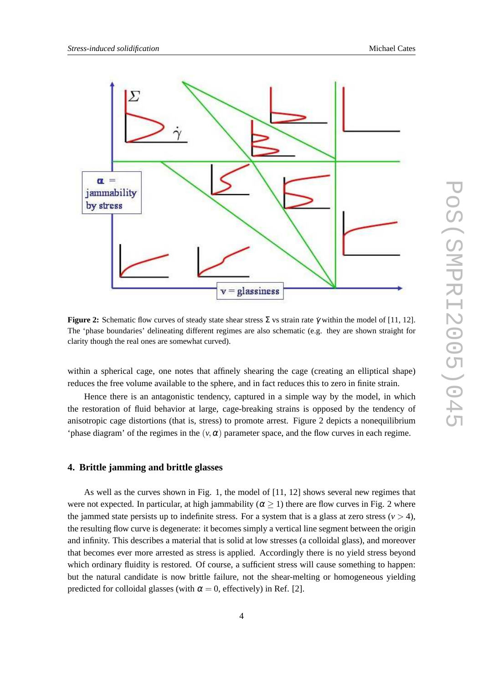

**Figure 2:** Schematic flow curves of steady state shear stress  $\Sigma$  vs strain rate  $\dot{\gamma}$  within the model of [11, 12]. The 'phase boundaries' delineating different regimes are also schematic (e.g. they are shown straight for clarity though the real ones are somewhat curved).

within a spherical cage, one notes that affinely shearing the cage (creating an elliptical shape) reduces the free volume available to the sphere, and in fact reduces this to zero in finite strain.

Hence there is an antagonistic tendency, captured in a simple way by the model, in which the restoration of fluid behavior at large, cage-breaking strains is opposed by the tendency of anisotropic cage distortions (that is, stress) to promote arrest. Figure 2 depicts a nonequilibrium 'phase diagram' of the regimes in the  $(v, \alpha)$  parameter space, and the flow curves in each regime.

### **4. Brittle jamming and brittle glasses**

As well as the curves shown in Fig. 1, the model of [11, 12] shows several new regimes that were not expected. In particular, at high jammability ( $\alpha \ge 1$ ) there are flow curves in Fig. 2 where the jammed state persists up to indefinite stress. For a system that is a glass at zero stress ( $v > 4$ ), the resulting flow curve is degenerate: it becomes simply a vertical line segment between the origin and infinity. This describes a material that is solid at low stresses (a colloidal glass), and moreover that becomes ever more arrested as stress is applied. Accordingly there is no yield stress beyond which ordinary fluidity is restored. Of course, a sufficient stress will cause something to happen: but the natural candidate is now brittle failure, not the shear-melting or homogeneous yielding predicted for colloidal glasses (with  $\alpha = 0$ , effectively) in Ref. [2].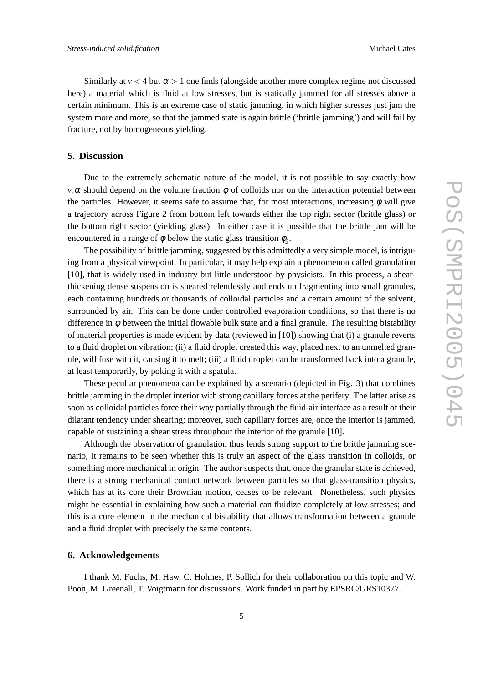Similarly at  $v < 4$  but  $\alpha > 1$  one finds (alongside another more complex regime not discussed here) a material which is fluid at low stresses, but is statically jammed for all stresses above a certain minimum. This is an extreme case of static jamming, in which higher stresses just jam the system more and more, so that the jammed state is again brittle ('brittle jamming') and will fail by fracture, not by homogeneous yielding.

# **5. Discussion**

Due to the extremely schematic nature of the model, it is not possible to say exactly how *v*,  $\alpha$  should depend on the volume fraction  $\phi$  of colloids nor on the interaction potential between the particles. However, it seems safe to assume that, for most interactions, increasing  $\phi$  will give a trajectory across Figure 2 from bottom left towards either the top right sector (brittle glass) or the bottom right sector (yielding glass). In either case it is possible that the brittle jam will be encountered in a range of  $\phi$  below the static glass transition  $\phi_{\varrho}$ .

The possibility of brittle jamming, suggested by this admittedly a very simple model, is intriguing from a physical viewpoint. In particular, it may help explain a phenomenon called granulation [10], that is widely used in industry but little understood by physicists. In this process, a shearthickening dense suspension is sheared relentlessly and ends up fragmenting into small granules, each containing hundreds or thousands of colloidal particles and a certain amount of the solvent, surrounded by air. This can be done under controlled evaporation conditions, so that there is no difference in  $\phi$  between the initial flowable bulk state and a final granule. The resulting bistability of material properties is made evident by data (reviewed in [10]) showing that (i) a granule reverts to a fluid droplet on vibration; (ii) a fluid droplet created this way, placed next to an unmelted granule, will fuse with it, causing it to melt; (iii) a fluid droplet can be transformed back into a granule, at least temporarily, by poking it with a spatula.

These peculiar phenomena can be explained by a scenario (depicted in Fig. 3) that combines brittle jamming in the droplet interior with strong capillary forces at the perifery. The latter arise as soon as colloidal particles force their way partially through the fluid-air interface as a result of their dilatant tendency under shearing; moreover, such capillary forces are, once the interior is jammed, capable of sustaining a shear stress throughout the interior of the granule [10].

Although the observation of granulation thus lends strong support to the brittle jamming scenario, it remains to be seen whether this is truly an aspect of the glass transition in colloids, or something more mechanical in origin. The author suspects that, once the granular state is achieved, there is a strong mechanical contact network between particles so that glass-transition physics, which has at its core their Brownian motion, ceases to be relevant. Nonetheless, such physics might be essential in explaining how such a material can fluidize completely at low stresses; and this is a core element in the mechanical bistability that allows transformation between a granule and a fluid droplet with precisely the same contents.

#### **6. Acknowledgements**

I thank M. Fuchs, M. Haw, C. Holmes, P. Sollich for their collaboration on this topic and W. Poon, M. Greenall, T. Voigtmann for discussions. Work funded in part by EPSRC/GRS10377.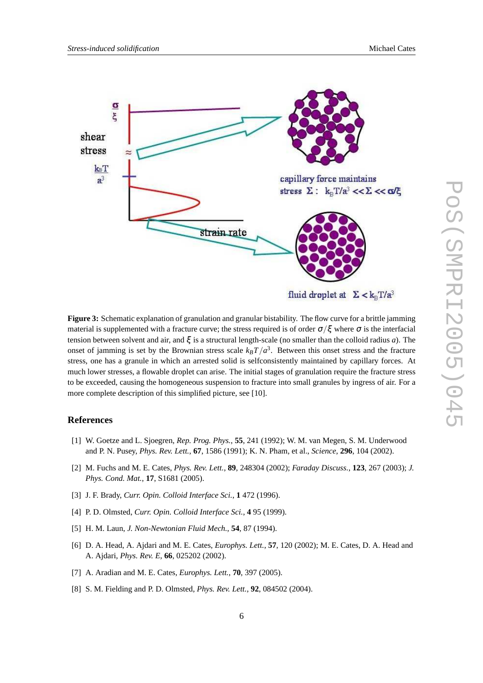

**Figure 3:** Schematic explanation of granulation and granular bistability. The flow curve for a brittle jamming material is supplemented with a fracture curve; the stress required is of order  $\sigma/\xi$  where  $\sigma$  is the interfacial tension between solvent and air, and ξ is a structural length-scale (no smaller than the colloid radius *a*). The onset of jamming is set by the Brownian stress scale  $k_B T / a^3$ . Between this onset stress and the fracture stress, one has a granule in which an arrested solid is selfconsistently maintained by capillary forces. At much lower stresses, a flowable droplet can arise. The initial stages of granulation require the fracture stress to be exceeded, causing the homogeneous suspension to fracture into small granules by ingress of air. For a more complete description of this simplified picture, see [10].

#### **References**

- [1] W. Goetze and L. Sjoegren, *Rep. Prog. Phys.*, **55**, 241 (1992); W. M. van Megen, S. M. Underwood and P. N. Pusey, *Phys. Rev. Lett.*, **67**, 1586 (1991); K. N. Pham, et al., *Science*, **296**, 104 (2002).
- [2] M. Fuchs and M. E. Cates, *Phys. Rev. Lett.*, **89**, 248304 (2002); *Faraday Discuss.*, **123**, 267 (2003); *J. Phys. Cond. Mat.*, **17**, S1681 (2005).
- [3] J. F. Brady, *Curr. Opin. Colloid Interface Sci.*, **1** 472 (1996).
- [4] P. D. Olmsted, *Curr. Opin. Colloid Interface Sci.*, **4** 95 (1999).
- [5] H. M. Laun, *J. Non-Newtonian Fluid Mech.*, **54**, 87 (1994).
- [6] D. A. Head, A. Ajdari and M. E. Cates, *Europhys. Lett.*, **57**, 120 (2002); M. E. Cates, D. A. Head and A. Ajdari, *Phys. Rev. E*, **66**, 025202 (2002).
- [7] A. Aradian and M. E. Cates, *Europhys. Lett.*, **70**, 397 (2005).
- [8] S. M. Fielding and P. D. Olmsted, *Phys. Rev. Lett.*, **92**, 084502 (2004).